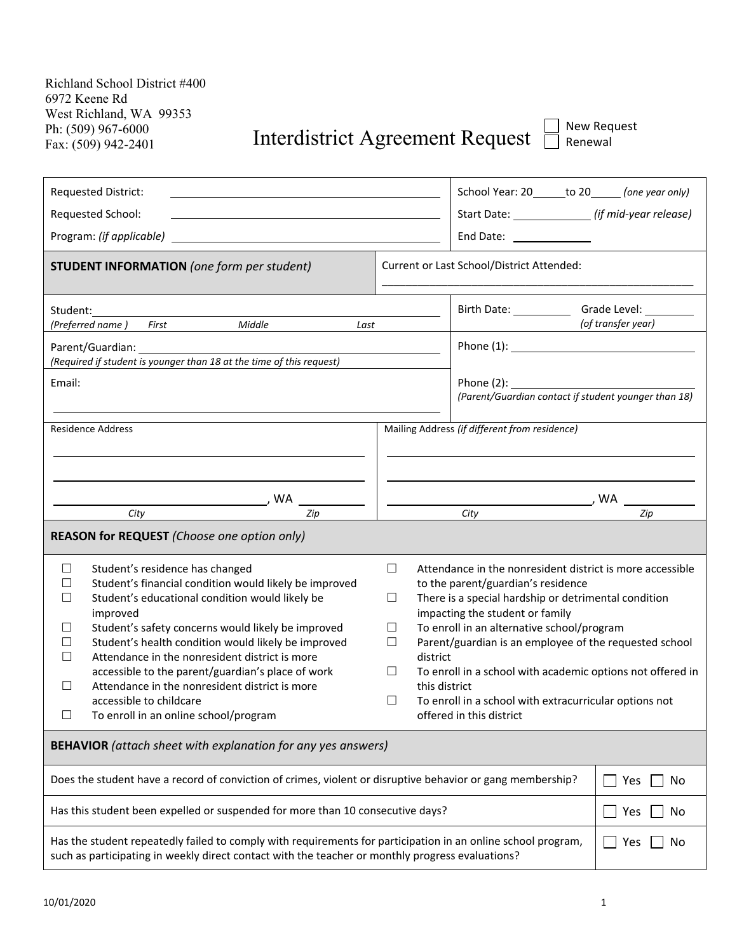## Ph: (509) 967-6000<br>Fax: (509) 942-2401 **Interdistrict Agreement Request**  $\Box$  Renewal

| <b>Requested District:</b>                                                                                                                                                                                                                                                                                                                                                                                                                                                                                                                        |                                                                                                                                                                                                                                                                                                                                                                                                                                                                                                                                                                                                                         | School Year: 20______ to 20______ (one year only)     |                    |
|---------------------------------------------------------------------------------------------------------------------------------------------------------------------------------------------------------------------------------------------------------------------------------------------------------------------------------------------------------------------------------------------------------------------------------------------------------------------------------------------------------------------------------------------------|-------------------------------------------------------------------------------------------------------------------------------------------------------------------------------------------------------------------------------------------------------------------------------------------------------------------------------------------------------------------------------------------------------------------------------------------------------------------------------------------------------------------------------------------------------------------------------------------------------------------------|-------------------------------------------------------|--------------------|
| Requested School:                                                                                                                                                                                                                                                                                                                                                                                                                                                                                                                                 |                                                                                                                                                                                                                                                                                                                                                                                                                                                                                                                                                                                                                         | Start Date: ________________ (if mid-year release)    |                    |
| Program: (if applicable)                                                                                                                                                                                                                                                                                                                                                                                                                                                                                                                          |                                                                                                                                                                                                                                                                                                                                                                                                                                                                                                                                                                                                                         | End Date: ______________                              |                    |
| <b>STUDENT INFORMATION</b> (one form per student)                                                                                                                                                                                                                                                                                                                                                                                                                                                                                                 |                                                                                                                                                                                                                                                                                                                                                                                                                                                                                                                                                                                                                         | Current or Last School/District Attended:             |                    |
| Student:<br>Middle<br>(Preferred name)<br>First<br>Last                                                                                                                                                                                                                                                                                                                                                                                                                                                                                           |                                                                                                                                                                                                                                                                                                                                                                                                                                                                                                                                                                                                                         | Birth Date: ________________Grade Level: ____________ | (of transfer year) |
| (Required if student is younger than 18 at the time of this request)                                                                                                                                                                                                                                                                                                                                                                                                                                                                              |                                                                                                                                                                                                                                                                                                                                                                                                                                                                                                                                                                                                                         |                                                       |                    |
| Email:                                                                                                                                                                                                                                                                                                                                                                                                                                                                                                                                            |                                                                                                                                                                                                                                                                                                                                                                                                                                                                                                                                                                                                                         | (Parent/Guardian contact if student younger than 18)  |                    |
| <b>Residence Address</b>                                                                                                                                                                                                                                                                                                                                                                                                                                                                                                                          |                                                                                                                                                                                                                                                                                                                                                                                                                                                                                                                                                                                                                         | Mailing Address (if different from residence)         |                    |
| , WA<br>City<br>Zip                                                                                                                                                                                                                                                                                                                                                                                                                                                                                                                               | , WA<br>City<br>Zip                                                                                                                                                                                                                                                                                                                                                                                                                                                                                                                                                                                                     |                                                       |                    |
| REASON for REQUEST (Choose one option only)                                                                                                                                                                                                                                                                                                                                                                                                                                                                                                       |                                                                                                                                                                                                                                                                                                                                                                                                                                                                                                                                                                                                                         |                                                       |                    |
| Student's residence has changed<br>ப<br>Student's financial condition would likely be improved<br>ΙI<br>Student's educational condition would likely be<br>$\Box$<br>improved<br>Student's safety concerns would likely be improved<br>ΙI<br>Student's health condition would likely be improved<br>Ш<br>Attendance in the nonresident district is more<br>Ш<br>accessible to the parent/guardian's place of work<br>Attendance in the nonresident district is more<br>$\Box$<br>accessible to childcare<br>To enroll in an online school/program | Attendance in the nonresident district is more accessible<br>$\Box$<br>to the parent/guardian's residence<br>There is a special hardship or detrimental condition<br>$\Box$<br>impacting the student or family<br>To enroll in an alternative school/program<br>⊔<br>Parent/guardian is an employee of the requested school<br>Ш<br>district<br>To enroll in a school with academic options not offered in<br>Ш<br>this district<br>To enroll in a school with extracurricular options not<br>$\Box$<br>offered in this district of the state of the state of the state of the state of the state of the state of the s |                                                       |                    |
| <b>BEHAVIOR</b> (attach sheet with explanation for any yes answers)                                                                                                                                                                                                                                                                                                                                                                                                                                                                               |                                                                                                                                                                                                                                                                                                                                                                                                                                                                                                                                                                                                                         |                                                       |                    |
| Does the student have a record of conviction of crimes, violent or disruptive behavior or gang membership?                                                                                                                                                                                                                                                                                                                                                                                                                                        |                                                                                                                                                                                                                                                                                                                                                                                                                                                                                                                                                                                                                         |                                                       | Yes<br>No          |
| Has this student been expelled or suspended for more than 10 consecutive days?                                                                                                                                                                                                                                                                                                                                                                                                                                                                    |                                                                                                                                                                                                                                                                                                                                                                                                                                                                                                                                                                                                                         |                                                       | Yes<br>No          |
| Has the student repeatedly failed to comply with requirements for participation in an online school program,<br>such as participating in weekly direct contact with the teacher or monthly progress evaluations?                                                                                                                                                                                                                                                                                                                                  |                                                                                                                                                                                                                                                                                                                                                                                                                                                                                                                                                                                                                         | Yes<br>No                                             |                    |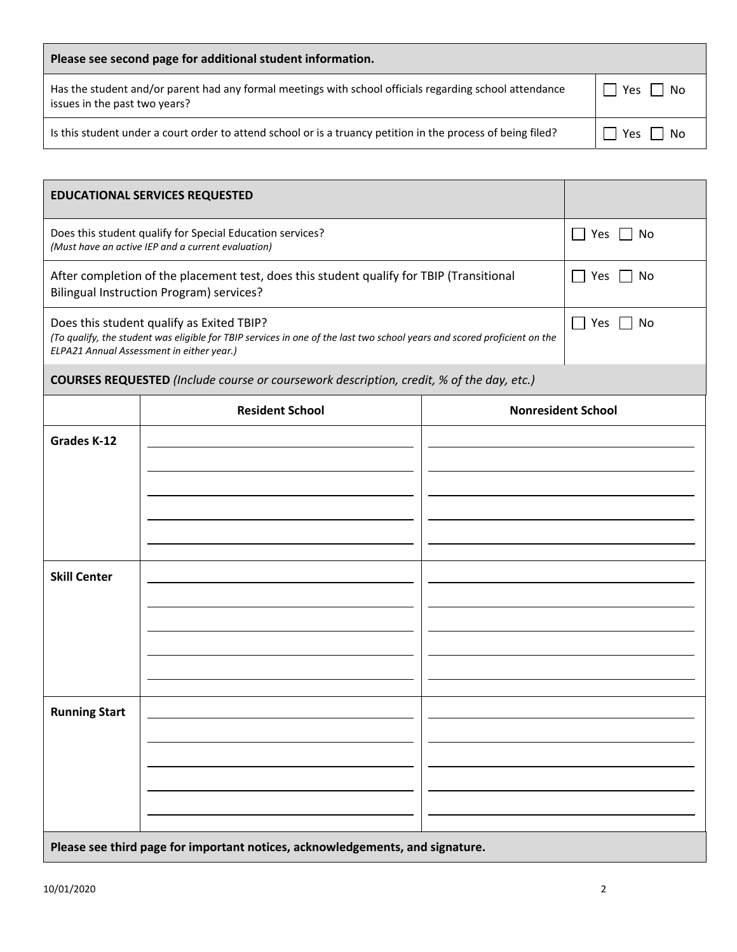| Please see second page for additional student information.                                                                               |           |  |  |
|------------------------------------------------------------------------------------------------------------------------------------------|-----------|--|--|
| Has the student and/or parent had any formal meetings with school officials regarding school attendance<br>issues in the past two years? | Yes<br>No |  |  |
| Is this student under a court order to attend school or is a truancy petition in the process of being filed?                             | Yes<br>No |  |  |

| <b>EDUCATIONAL SERVICES REQUESTED</b>                                                                                                                                                                              |                           |  |                           |  |  |  |
|--------------------------------------------------------------------------------------------------------------------------------------------------------------------------------------------------------------------|---------------------------|--|---------------------------|--|--|--|
| Does this student qualify for Special Education services?<br>(Must have an active IEP and a current evaluation)                                                                                                    |                           |  | Yes<br>No                 |  |  |  |
| After completion of the placement test, does this student qualify for TBIP (Transitional<br>Bilingual Instruction Program) services?                                                                               |                           |  | Yes<br>No<br>$\sim$       |  |  |  |
| Does this student qualify as Exited TBIP?<br>(To qualify, the student was eligible for TBIP services in one of the last two school years and scored proficient on the<br>ELPA21 Annual Assessment in either year.) | Yes<br>No<br>$\mathbf{L}$ |  |                           |  |  |  |
| COURSES REQUESTED (Include course or coursework description, credit, % of the day, etc.)                                                                                                                           |                           |  |                           |  |  |  |
|                                                                                                                                                                                                                    | <b>Resident School</b>    |  | <b>Nonresident School</b> |  |  |  |
|                                                                                                                                                                                                                    |                           |  |                           |  |  |  |
| <b>Grades K-12</b>                                                                                                                                                                                                 |                           |  |                           |  |  |  |
|                                                                                                                                                                                                                    |                           |  |                           |  |  |  |
|                                                                                                                                                                                                                    |                           |  |                           |  |  |  |
|                                                                                                                                                                                                                    |                           |  |                           |  |  |  |
|                                                                                                                                                                                                                    |                           |  |                           |  |  |  |
| <b>Skill Center</b>                                                                                                                                                                                                |                           |  |                           |  |  |  |
|                                                                                                                                                                                                                    |                           |  |                           |  |  |  |
|                                                                                                                                                                                                                    |                           |  |                           |  |  |  |

**Please see third page for important notices, acknowledgements, and signature.**

**Running Start**